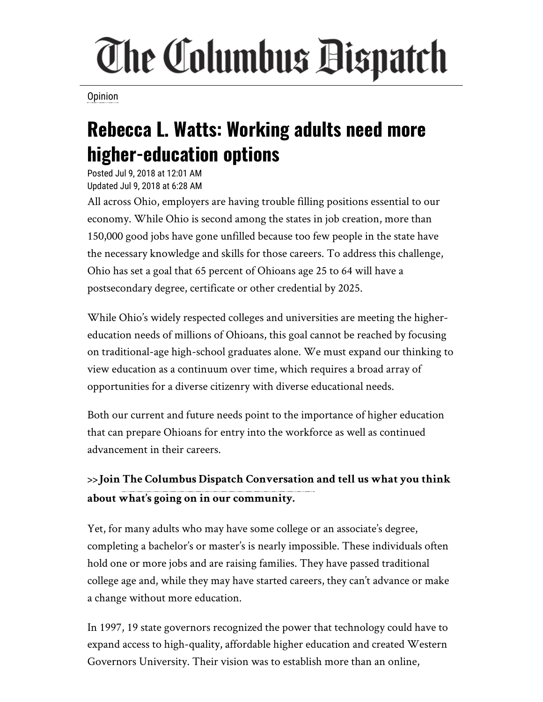## The Columbus Dispatch

**[Opinion](http://www.dispatch.com/search?text=Opinion)** 

## **Rebecca L. Watts: Working adults need more higher-education options**

Posted Jul 9, 2018 at 12:01 AM Updated Jul 9, 2018 at 6:28 AM

All across Ohio, employers are having trouble filling positions essential to our economy. While Ohio is second among the states in job creation, more than 150,000 good jobs have gone unfilled because too few people in the state have the necessary knowledge and skills for those careers. To address this challenge, Ohio has set a goal that 65 percent of Ohioans age 25 to 64 will have a postsecondary degree, certificate or other credential by 2025.

While Ohio's widely respected colleges and universities are meeting the highereducation needs of millions of Ohioans, this goal cannot be reached by focusing on traditional-age high-school graduates alone. We must expand our thinking to view education as a continuum over time, which requires a broad array of opportunities for a diverse citizenry with diverse educational needs.

Both our current and future needs point to the importance of higher education that can prepare Ohioans for entry into the workforce as well as continued advancement in their careers.

**>>Join [The Columbus Dispatch Conversation](https://www.facebook.com/groups/ColumbusDispatchConversation/) and tell us what you think about what's going on in our community.**

Yet, for many adults who may have some college or an associate's degree, completing a bachelor's or master's is nearly impossible. These individuals often hold one or more jobs and are raising families. They have passed traditional college age and, while they may have started careers, they can't advance or make a change without more education.

In 1997, 19 state governors recognized the power that technology could have to expand access to high-quality, affordable higher education and created Western Governors University. Their vision was to establish more than an online,